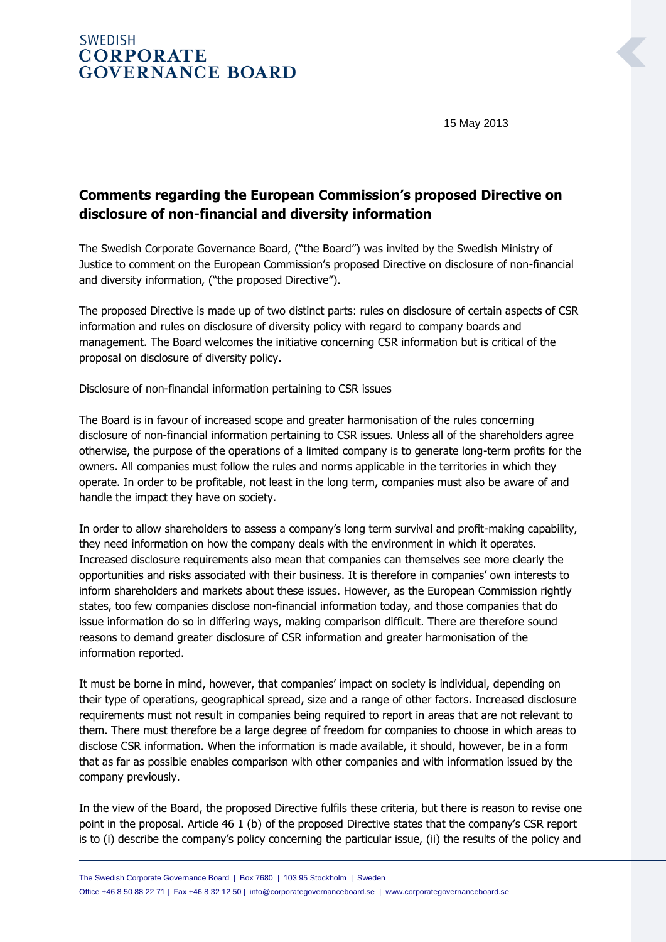## **SWEDISH CORPORATE GOVERNANCE BOARD**

15 May 2013

# **Comments regarding the European Commission's proposed Directive on disclosure of non-financial and diversity information**

The Swedish Corporate Governance Board, ("the Board") was invited by the Swedish Ministry of Justice to comment on the European Commission's proposed Directive on disclosure of non-financial and diversity information, ("the proposed Directive").

The proposed Directive is made up of two distinct parts: rules on disclosure of certain aspects of CSR information and rules on disclosure of diversity policy with regard to company boards and management. The Board welcomes the initiative concerning CSR information but is critical of the proposal on disclosure of diversity policy.

#### Disclosure of non-financial information pertaining to CSR issues

The Board is in favour of increased scope and greater harmonisation of the rules concerning disclosure of non-financial information pertaining to CSR issues. Unless all of the shareholders agree otherwise, the purpose of the operations of a limited company is to generate long-term profits for the owners. All companies must follow the rules and norms applicable in the territories in which they operate. In order to be profitable, not least in the long term, companies must also be aware of and handle the impact they have on society.

In order to allow shareholders to assess a company's long term survival and profit-making capability, they need information on how the company deals with the environment in which it operates. Increased disclosure requirements also mean that companies can themselves see more clearly the opportunities and risks associated with their business. It is therefore in companies' own interests to inform shareholders and markets about these issues. However, as the European Commission rightly states, too few companies disclose non-financial information today, and those companies that do issue information do so in differing ways, making comparison difficult. There are therefore sound reasons to demand greater disclosure of CSR information and greater harmonisation of the information reported.

It must be borne in mind, however, that companies' impact on society is individual, depending on their type of operations, geographical spread, size and a range of other factors. Increased disclosure requirements must not result in companies being required to report in areas that are not relevant to them. There must therefore be a large degree of freedom for companies to choose in which areas to disclose CSR information. When the information is made available, it should, however, be in a form that as far as possible enables comparison with other companies and with information issued by the company previously.

In the view of the Board, the proposed Directive fulfils these criteria, but there is reason to revise one point in the proposal. Article 46 1 (b) of the proposed Directive states that the company's CSR report is to (i) describe the company's policy concerning the particular issue, (ii) the results of the policy and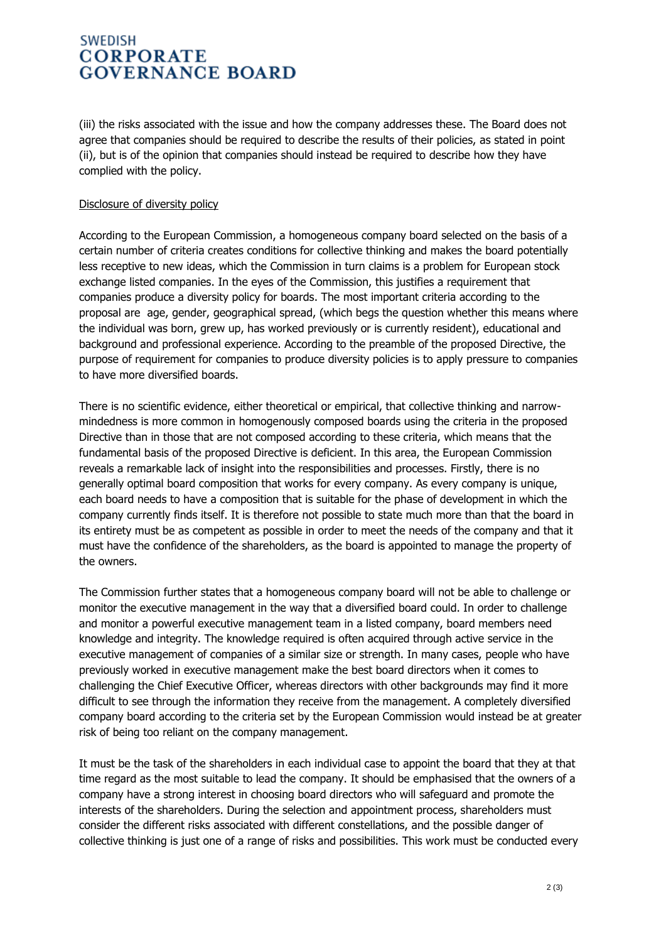### **SWEDISH CORPORATE GOVERNANCE BOARD**

(iii) the risks associated with the issue and how the company addresses these. The Board does not agree that companies should be required to describe the results of their policies, as stated in point (ii), but is of the opinion that companies should instead be required to describe how they have complied with the policy.

#### Disclosure of diversity policy

According to the European Commission, a homogeneous company board selected on the basis of a certain number of criteria creates conditions for collective thinking and makes the board potentially less receptive to new ideas, which the Commission in turn claims is a problem for European stock exchange listed companies. In the eyes of the Commission, this justifies a requirement that companies produce a diversity policy for boards. The most important criteria according to the proposal are age, gender, geographical spread, (which begs the question whether this means where the individual was born, grew up, has worked previously or is currently resident), educational and background and professional experience. According to the preamble of the proposed Directive, the purpose of requirement for companies to produce diversity policies is to apply pressure to companies to have more diversified boards.

There is no scientific evidence, either theoretical or empirical, that collective thinking and narrowmindedness is more common in homogenously composed boards using the criteria in the proposed Directive than in those that are not composed according to these criteria, which means that the fundamental basis of the proposed Directive is deficient. In this area, the European Commission reveals a remarkable lack of insight into the responsibilities and processes. Firstly, there is no generally optimal board composition that works for every company. As every company is unique, each board needs to have a composition that is suitable for the phase of development in which the company currently finds itself. It is therefore not possible to state much more than that the board in its entirety must be as competent as possible in order to meet the needs of the company and that it must have the confidence of the shareholders, as the board is appointed to manage the property of the owners.

The Commission further states that a homogeneous company board will not be able to challenge or monitor the executive management in the way that a diversified board could. In order to challenge and monitor a powerful executive management team in a listed company, board members need knowledge and integrity. The knowledge required is often acquired through active service in the executive management of companies of a similar size or strength. In many cases, people who have previously worked in executive management make the best board directors when it comes to challenging the Chief Executive Officer, whereas directors with other backgrounds may find it more difficult to see through the information they receive from the management. A completely diversified company board according to the criteria set by the European Commission would instead be at greater risk of being too reliant on the company management.

It must be the task of the shareholders in each individual case to appoint the board that they at that time regard as the most suitable to lead the company. It should be emphasised that the owners of a company have a strong interest in choosing board directors who will safeguard and promote the interests of the shareholders. During the selection and appointment process, shareholders must consider the different risks associated with different constellations, and the possible danger of collective thinking is just one of a range of risks and possibilities. This work must be conducted every